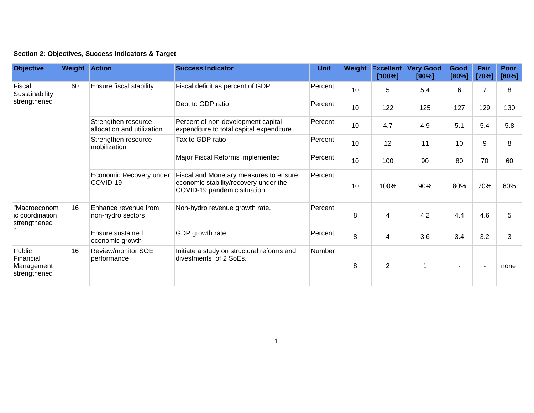| Section 2: Objectives, Success Indicators & Target |  |  |  |  |  |  |
|----------------------------------------------------|--|--|--|--|--|--|
|----------------------------------------------------|--|--|--|--|--|--|

| <b>Objective</b>                                  | <b>Weight Action</b> |                                                   | <b>Success Indicator</b>                                                                                       | <b>Unit</b>                    | Weight  | <b>Excellent</b><br>[100%] | <b>Very Good</b><br>[90%] | Good<br>[80%] | Fair<br>[70%] | Poor<br>[60%] |   |
|---------------------------------------------------|----------------------|---------------------------------------------------|----------------------------------------------------------------------------------------------------------------|--------------------------------|---------|----------------------------|---------------------------|---------------|---------------|---------------|---|
| Fiscal<br>Sustainability<br>strengthened          | 60                   | Ensure fiscal stability                           | Fiscal deficit as percent of GDP                                                                               | Percent                        | 10      | 5                          | 5.4                       | 6             | 7             | 8             |   |
|                                                   |                      |                                                   | Debt to GDP ratio                                                                                              | Percent                        | 10      | 122                        | 125                       | 127           | 129           | 130           |   |
|                                                   |                      | Strengthen resource<br>allocation and utilization | Percent of non-development capital<br>expenditure to total capital expenditure.                                | Percent                        | 10      | 4.7                        | 4.9                       | 5.1           | 5.4           | 5.8           |   |
|                                                   |                      | Strengthen resource<br>mobilization               | Tax to GDP ratio                                                                                               | Percent                        | 10      | 12                         | 11                        | 10            | 9             | 8             |   |
|                                                   |                      |                                                   | Major Fiscal Reforms implemented                                                                               | Percent                        | 10      | 100                        | 90                        | 80            | 70            | 60            |   |
|                                                   |                      | Economic Recovery under<br>COVID-19               | Fiscal and Monetary measures to ensure<br>economic stability/recovery under the<br>COVID-19 pandemic situation | Percent                        | 10      | 100%                       | 90%                       | 80%           | 70%           | 60%           |   |
| "Macroeconom<br>ic coordination<br>strengthened   | 16                   |                                                   | Enhance revenue from<br>non-hydro sectors                                                                      | Non-hydro revenue growth rate. | Percent | 8                          | 4                         | 4.2           | 4.4           | 4.6           | 5 |
|                                                   |                      | Ensure sustained<br>economic growth               | GDP growth rate                                                                                                | Percent                        | 8       | 4                          | 3.6                       | 3.4           | 3.2           | 3             |   |
| Public<br>Financial<br>Management<br>strengthened | 16                   | Review/monitor SOE<br>performance                 | Initiate a study on structural reforms and<br>divestments of 2 SoEs.                                           | Number                         | 8       | $\overline{2}$             |                           |               |               | none          |   |